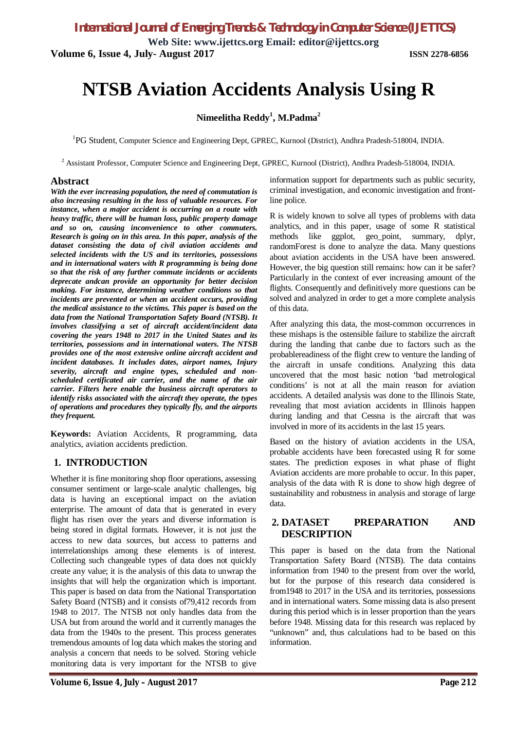**Web Site: www.ijettcs.org Email: editor@ijettcs.org Volume 6, Issue 4, July- August 2017 ISSN 2278-6856**

# **NTSB Aviation Accidents Analysis Using R**

# **Nimeelitha Reddy<sup>1</sup> , M.Padma<sup>2</sup>**

<sup>1</sup>PG Student, Computer Science and Engineering Dept, GPREC, Kurnool (District), Andhra Pradesh-518004, INDIA.

<sup>2</sup> Assistant Professor, Computer Science and Engineering Dept, GPREC, Kurnool (District), Andhra Pradesh-518004, INDIA.

#### **Abstract**

*With the ever increasing population, the need of commutation is also increasing resulting in the loss of valuable resources. For instance, when a major accident is occurring on a route with heavy traffic, there will be human loss, public property damage and so on, causing inconvenience to other commuters. Research is going on in this area. In this paper, analysis of the dataset consisting the data of civil aviation accidents and selected incidents with the US and its territories, possessions and in international waters with R programming is being done so that the risk of any further commute incidents or accidents deprecate andcan provide an opportunity for better decision making. For instance, determining weather conditions so that incidents are prevented or when an accident occurs, providing the medical assistance to the victims. This paper is based on the data from the National Transportation Safety Board (NTSB). It involves classifying a set of aircraft accident/incident data covering the years 1948 to 2017 in the United States and its territories, possessions and in international waters. The NTSB provides one of the most extensive online aircraft accident and incident databases. It includes dates, airport names, Injury severity, aircraft and engine types, scheduled and nonscheduled certificated air carrier, and the name of the air carrier. Filters here enable the business aircraft operators to identify risks associated with the aircraft they operate, the types of operations and procedures they typically fly, and the airports they frequent.*

**Keywords:** Aviation Accidents, R programming, data analytics, aviation accidents prediction.

### **1. INTRODUCTION**

Whether it is fine monitoring shop floor operations, assessing consumer sentiment or large-scale analytic challenges, big data is having an exceptional impact on the aviation enterprise. The amount of data that is generated in every flight has risen over the years and diverse information is being stored in digital formats. However, it is not just the access to new data sources, but access to patterns and interrelationships among these elements is of interest. Collecting such changeable types of data does not quickly create any value; it is the analysis of this data to unwrap the insights that will help the organization which is important. This paper is based on data from the National Transportation Safety Board (NTSB) and it consists of79,412 records from 1948 to 2017. The NTSB not only handles data from the USA but from around the world and it currently manages the data from the 1940s to the present. This process generates tremendous amounts of log data which makes the storing and analysis a concern that needs to be solved. Storing vehicle monitoring data is very important for the NTSB to give

information support for departments such as public security, criminal investigation, and economic investigation and frontline police.

R is widely known to solve all types of problems with data analytics, and in this paper, usage of some R statistical methods like ggplot, geo\_point, summary, dplyr, randomForest is done to analyze the data. Many questions about aviation accidents in the USA have been answered. However, the big question still remains: how can it be safer? Particularly in the context of ever increasing amount of the flights. Consequently and definitively more questions can be solved and analyzed in order to get a more complete analysis of this data.

After analyzing this data, the most-common occurrences in these mishaps is the ostensible failure to stabilize the aircraft during the landing that canbe due to factors such as the probablereadiness of the flight crew to venture the landing of the aircraft in unsafe conditions. Analyzing this data uncovered that the most basic notion 'bad metrological conditions' is not at all the main reason for aviation accidents. A detailed analysis was done to the Illinois State, revealing that most aviation accidents in Illinois happen during landing and that Cessna is the aircraft that was involved in more of its accidents in the last 15 years.

Based on the history of aviation accidents in the USA, probable accidents have been forecasted using R for some states. The prediction exposes in what phase of flight Aviation accidents are more probable to occur. In this paper, analysis of the data with R is done to show high degree of sustainability and robustness in analysis and storage of large data.

### **2. DATASET PREPARATION AND DESCRIPTION**

This paper is based on the data from the National Transportation Safety Board (NTSB). The data contains information from 1940 to the present from over the world, but for the purpose of this research data considered is from1948 to 2017 in the USA and its territories, possessions and in international waters. Some missing data is also present during this period which is in lesser proportion than the years before 1948. Missing data for this research was replaced by "unknown" and, thus calculations had to be based on this information.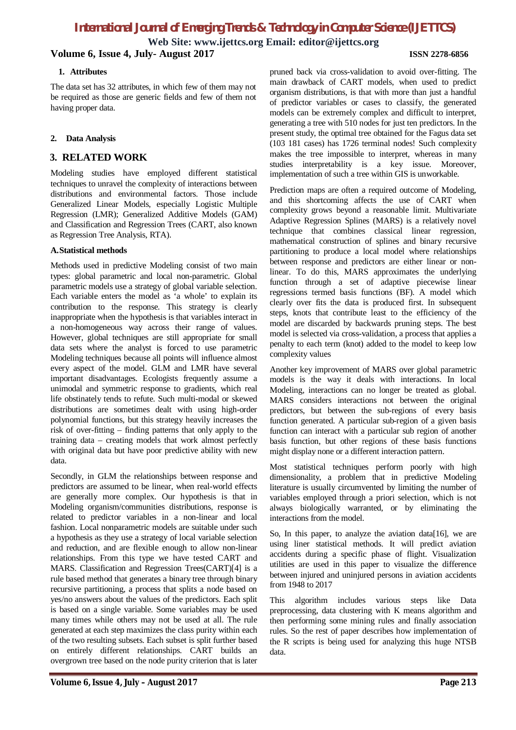**Web Site: www.ijettcs.org Email: editor@ijettcs.org**

## **Volume 6, Issue 4, July- August 2017 ISSN 2278-6856**

#### **1. Attributes**

The data set has 32 attributes, in which few of them may not be required as those are generic fields and few of them not having proper data.

#### **2. Data Analysis**

# **3. RELATED WORK**

Modeling studies have employed different statistical techniques to unravel the complexity of interactions between distributions and environmental factors. Those include Generalized Linear Models, especially Logistic Multiple Regression (LMR); Generalized Additive Models (GAM) and Classification and Regression Trees (CART, also known as Regression Tree Analysis, RTA).

#### **A.Statistical methods**

Methods used in predictive Modeling consist of two main types: global parametric and local non-parametric. Global parametric models use a strategy of global variable selection. Each variable enters the model as 'a whole' to explain its contribution to the response. This strategy is clearly inappropriate when the hypothesis is that variables interact in a non-homogeneous way across their range of values. However, global techniques are still appropriate for small data sets where the analyst is forced to use parametric Modeling techniques because all points will influence almost every aspect of the model. GLM and LMR have several important disadvantages. Ecologists frequently assume a unimodal and symmetric response to gradients, which real life obstinately tends to refute. Such multi-modal or skewed distributions are sometimes dealt with using high-order polynomial functions, but this strategy heavily increases the risk of over-fitting – finding patterns that only apply to the training data – creating models that work almost perfectly with original data but have poor predictive ability with new data.

Secondly, in GLM the relationships between response and predictors are assumed to be linear, when real-world effects are generally more complex. Our hypothesis is that in Modeling organism/communities distributions, response is related to predictor variables in a non-linear and local fashion. Local nonparametric models are suitable under such a hypothesis as they use a strategy of local variable selection and reduction, and are flexible enough to allow non-linear relationships. From this type we have tested CART and MARS. Classification and Regression Trees(CART)[4] is a rule based method that generates a binary tree through binary recursive partitioning, a process that splits a node based on yes/no answers about the values of the predictors. Each split is based on a single variable. Some variables may be used many times while others may not be used at all. The rule generated at each step maximizes the class purity within each of the two resulting subsets. Each subset is split further based on entirely different relationships. CART builds an overgrown tree based on the node purity criterion that is later pruned back via cross-validation to avoid over-fitting. The main drawback of CART models, when used to predict organism distributions, is that with more than just a handful of predictor variables or cases to classify, the generated models can be extremely complex and difficult to interpret, generating a tree with 510 nodes for just ten predictors. In the present study, the optimal tree obtained for the Fagus data set (103 181 cases) has 1726 terminal nodes! Such complexity makes the tree impossible to interpret, whereas in many studies interpretability is a key issue. Moreover, implementation of such a tree within GIS is unworkable.

Prediction maps are often a required outcome of Modeling, and this shortcoming affects the use of CART when complexity grows beyond a reasonable limit. Multivariate Adaptive Regression Splines (MARS) is a relatively novel technique that combines classical linear regression, mathematical construction of splines and binary recursive partitioning to produce a local model where relationships between response and predictors are either linear or nonlinear. To do this, MARS approximates the underlying function through a set of adaptive piecewise linear regressions termed basis functions (BF). A model which clearly over fits the data is produced first. In subsequent steps, knots that contribute least to the efficiency of the model are discarded by backwards pruning steps. The best model is selected via cross-validation, a process that applies a penalty to each term (knot) added to the model to keep low complexity values

Another key improvement of MARS over global parametric models is the way it deals with interactions. In local Modeling, interactions can no longer be treated as global. MARS considers interactions not between the original predictors, but between the sub-regions of every basis function generated. A particular sub-region of a given basis function can interact with a particular sub region of another basis function, but other regions of these basis functions might display none or a different interaction pattern.

Most statistical techniques perform poorly with high dimensionality, a problem that in predictive Modeling literature is usually circumvented by limiting the number of variables employed through a priori selection, which is not always biologically warranted, or by eliminating the interactions from the model.

So, In this paper, to analyze the aviation data[16], we are using liner statistical methods. It will predict aviation accidents during a specific phase of flight. Visualization utilities are used in this paper to visualize the difference between injured and uninjured persons in aviation accidents from 1948 to 2017

This algorithm includes various steps like Data preprocessing, data clustering with K means algorithm and then performing some mining rules and finally association rules. So the rest of paper describes how implementation of the R scripts is being used for analyzing this huge NTSB data.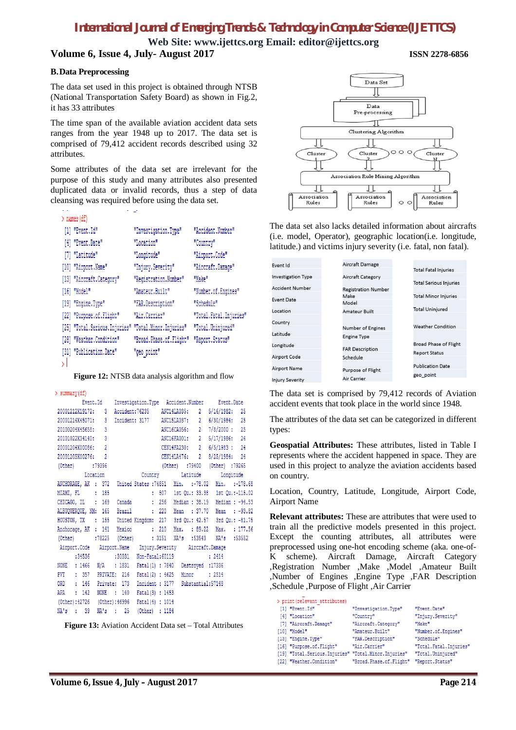**Web Site: www.ijettcs.org Email: editor@ijettcs.org Volume 6, Issue 4, July- August 2017 ISSN 2278-6856**

#### **B.Data Preprocessing**

The data set used in this project is obtained through NTSB (National Transportation Safety Board) as shown in Fig.2, it has 33 attributes

The time span of the available aviation accident data sets ranges from the year 1948 up to 2017. The data set is comprised of 79,412 accident records described using 32 attributes.

Some attributes of the data set are irrelevant for the purpose of this study and many attributes also presented duplicated data or invalid records, thus a step of data cleansing was required before using the data set.

| $>$ names (df)                                       |                         |                        |
|------------------------------------------------------|-------------------------|------------------------|
| [1] "Event.Id"                                       | "Investigation.Type"    | "Accident.Number"      |
| [4] "Event.Date"                                     | "Location"              | "Country"              |
| [7] "Latitude"                                       | "Longitude"             | "Airport.Code"         |
| [10] "Airport.Name"                                  | "Injury.Severity"       | "Aircraft.Damage"      |
| [13] "Aircraft.Category"                             | "Registration.Number"   | "Make"                 |
| [16] "Model"                                         | "Amateur.Built"         | "Number.of.Engines"    |
| [19] "Engine.Type"                                   | "FAR.Description"       | "Schedule"             |
| [22] "Purpose.of.Flight"                             | "Air.Carrier"           | "Total.Fatal.Injuries" |
| [25] "Total.Serious.Injuries" "Total.Minor.Injuries" |                         | "Total.Uninjured"      |
| [28] "Weather.Condition"                             | "Broad.Phase.of.Flight" | "Report.Status"        |
| [31] "Publication.Date"                              | "geo point"             |                        |
|                                                      |                         |                        |

**Figure 12:** NTSB data analysis algorithm and flow

#### > summary (df)

| Event.Id                                                             |                                             | Investigation.Type Accident.Number Event.Date |        |
|----------------------------------------------------------------------|---------------------------------------------|-----------------------------------------------|--------|
| 20001212X19172: 3                                                    |                                             | Accident:76235 ANC14LA035: 2 5/16/1982: 25    |        |
| 20001214X45071; 3                                                    |                                             | Incident: 3177 ANC15LA037: 2 6/30/1984: 25    |        |
| 20100204X45658: 3                                                    |                                             | ANC16CA056: 2 7/8/2000: 25                    |        |
| 20101022X34140; 3                                                    |                                             | ANC16FA001: 2 5/17/1986: 24                   |        |
| 20001204X00086: 2                                                    |                                             | CEN14FA230: 2 6/5/1983: 24                    |        |
| 20001205X00276: 2                                                    |                                             | CEN14LA476: 2 8/25/1984: 24                   |        |
| (Other) :79396                                                       |                                             | (Other) :79400 (Other) :79265                 |        |
|                                                                      | Location Country Latitude Longitude         |                                               |        |
| ANCHORAGE, AK : 372 United States : 74851 Min. :-78.02 Min. :-178.68 |                                             |                                               |        |
| MIAMI, FL : 185                                                      |                                             | : 507 1st Qu.: 33.38 1st Qu.:-115.02          |        |
| CHICAGO, IL : 169                                                    | Canada : 256 Median : 38.19 Median : -94.53 |                                               |        |
| ALBUQUERQUE, NM: 165 Brazil : 220 Mean : 37.70 Mean : -93.82         |                                             |                                               |        |
| HOUSTON, TX : 155 United Kingdom: 217 3rd Qu.: 42.57 3rd Qu.: -81.75 |                                             |                                               |        |
| Anchorage, AK : 141 Mexico : 210 Max. : 89.22 Max. : 177.56          |                                             |                                               |        |
| (Other) :78225 (Other) :3151 NA's :53543 NA's :53552                 |                                             |                                               |        |
| Airport.Code Airport.Name Injury.Severity Aircraft.Damage            |                                             |                                               |        |
|                                                                      | :34536 :30031 Non-Fatal:60119               |                                               | : 2414 |
| NONE : 1466 N/A : 1831 Fatal(1) : 7840 Destroyed : 17336             |                                             |                                               |        |
| PVT : 357 PRIVATE: 216                                               |                                             | Fatal(2): 4625 Minor : 2514                   |        |
| ORD : 146 Private: 173 Incident : 3177 Substantial: 57148            |                                             |                                               |        |
| APA : 142<br><b>NONE</b>                                             | : 140<br>Fatal(3) : 1453                    |                                               |        |
| (Other):42726 (Other):46996 Fatal(4): 1014                           |                                             |                                               |        |
| NA's : 39                                                            | NA's : 25 (Other) : 1184                    |                                               |        |

**Figure 13:** Aviation Accident Data set – Total Attributes



The data set also lacks detailed information about aircrafts (i.e. model, Operator), geographic location(i.e. longitude, latitude.) and victims injury severity (i.e. fatal, non fatal).

| vent Id                | Aircraft Damage            |                               |
|------------------------|----------------------------|-------------------------------|
|                        |                            | <b>Total Fatal Injuries</b>   |
| nvestigation Type      | Aircraft Category          |                               |
|                        |                            | <b>Total Serious Injuries</b> |
| <b>Accident Number</b> | <b>Registration Number</b> |                               |
| vent Date              | Make                       | <b>Total Minor Injuries</b>   |
|                        | Model                      |                               |
| ocation                | Amateur Built              | <b>Total Uninjured</b>        |
|                        |                            |                               |
| Country:               |                            | <b>Weather Condition</b>      |
| atitude                | Number of Engines          |                               |
|                        | <b>Engine Type</b>         |                               |
| ongitude               |                            | <b>Broad Phase of Flight</b>  |
|                        | <b>FAR Description</b>     | <b>Report Status</b>          |
| <b>Airport Code</b>    | Schedule                   |                               |
|                        |                            | <b>Publication Date</b>       |
| <b>Airport Name</b>    | Purpose of Flight          |                               |
| njury Severity         | Air Carrier                | geo point                     |
|                        |                            |                               |

The data set is comprised by 79,412 records of Aviation accident events that took place in the world since 1948.

The attributes of the data set can be categorized in different types:

**Geospatial Attributes:** These attributes, listed in Table I represents where the accident happened in space. They are used in this project to analyze the aviation accidents based on country.

Location, Country, Latitude, Longitude, Airport Code, Airport Name

**Relevant attributes:** These are attributes that were used to train all the predictive models presented in this project. Except the counting attributes, all attributes were preprocessed using one-hot encoding scheme (aka. one-of-K scheme). Aircraft Damage, Aircraft Category ,Registration Number ,Make ,Model ,Amateur Built ,Number of Engines ,Engine Type ,FAR Description ,Schedule ,Purpose of Flight ,Air Carrier

| > print (relevant attributes)                        |                                             |                          |
|------------------------------------------------------|---------------------------------------------|--------------------------|
| [1] "Event.Id"                                       | "Investigation.Type"                        | "Event.Date"             |
| [4] "Location"                                       | "Country"                                   | "Injury.Severity"        |
| [7] "Aircraft.Damage"                                | "Aircraft.Category"                         | "Make"                   |
| [10] "Model"                                         | "Amateur.Built"                             | "Number.of.Engines"      |
| [13] "Engine.Type"                                   | "FAR. Description"                          | "Schedule"               |
| [16] "Purpose.of.Flight"                             | "Air.Carrier"                               | "Total. Fatal. Injuries" |
| [19] "Total.Serious.Injuries" "Total.Minor.Injuries" |                                             | "Total.Uninjured"        |
| [22] "Weather.Condition"                             | "Broad. Phase. of. Flight" "Report. Status" |                          |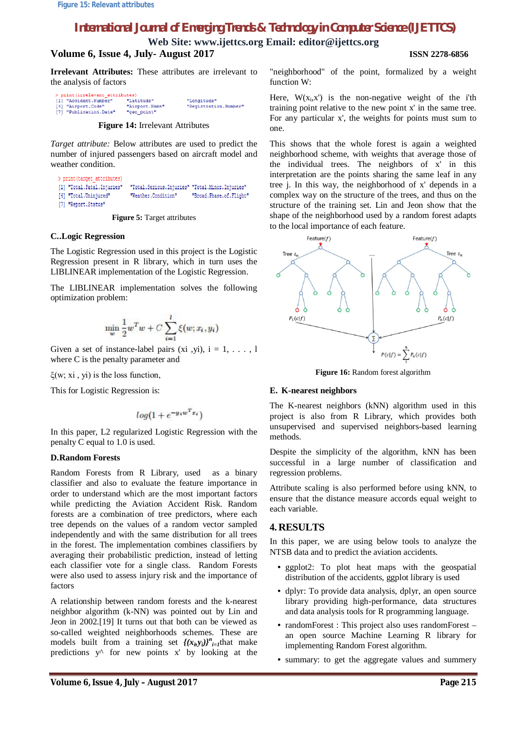**Web Site: www.ijettcs.org Email: editor@ijettcs.org**

# **Volume 6, Issue 4, July- August 2017 ISSN 2278-6856**

**Irrelevant Attributes:** These attributes are irrelevant to the analysis of factors

**Figure 14:** Irrelevant Attributes

*Target attribute:* Below attributes are used to predict the number of injured passengers based on aircraft model and weather condition.

```
> print (target attributes)
[1] "Total.Fatal.Injuries"
                             "Total.Serious.Injuries" "Total.Minor.Injuries"
[4] "Total.Uninjured"
                             "Weather.Condition"
                                                       "Broad.Phase.of.Flight"
[7] "Report.Status"
```
**Figure 5:** Target attributes

#### **C..Logic Regression**

The Logistic Regression used in this project is the Logistic Regression present in R library, which in turn uses the LIBLINEAR implementation of the Logistic Regression.

The LIBLINEAR implementation solves the following optimization problem:

$$
\min_{w} \frac{1}{2} w^T w + C \sum_{i=1}^l \xi(w; x_i, y_i)
$$

Given a set of instance-label pairs (xi, yi),  $i = 1, \ldots, 1$ where C is the penalty parameter and

ξ(w; xi, yi) is the loss function,

This for Logistic Regression is:

$$
log(1 + e^{-y_i w^T x_i})
$$

In this paper, L2 regularized Logistic Regression with the penalty C equal to 1.0 is used.

#### **D.Random Forests**

Random Forests from R Library, used as a binary classifier and also to evaluate the feature importance in order to understand which are the most important factors while predicting the Aviation Accident Risk. Random forests are a combination of tree predictors, where each tree depends on the values of a random vector sampled independently and with the same distribution for all trees in the forest. The implementation combines classifiers by averaging their probabilistic prediction, instead of letting each classifier vote for a single class. Random Forests were also used to assess injury risk and the importance of factors

A relationship between random forests and the k-nearest neighbor algorithm (k-NN) was pointed out by Lin and Jeon in 2002.[19] It turns out that both can be viewed as so-called weighted neighborhoods schemes. These are models built from a training set  $\left\{ (x_i, y_i) \right\}^n_{i=1}$  that make predictions  $y^{\wedge}$  for new points x' by looking at the

"neighborhood" of the point, formalized by a weight function W:

Here,  $W(x_i, x')$  is the non-negative weight of the i'th training point relative to the new point x' in the same tree. For any particular x', the weights for points must sum to one.

This shows that the whole forest is again a weighted neighborhood scheme, with weights that average those of the individual trees. The neighbors of x' in this interpretation are the points sharing the same leaf in any tree j. In this way, the neighborhood of x' depends in a complex way on the structure of the trees, and thus on the structure of the training set. Lin and Jeon show that the shape of the neighborhood used by a random forest adapts to the local importance of each feature.



**Figure 16:** Random forest algorithm

#### **E. K-nearest neighbors**

The K-nearest neighbors (kNN) algorithm used in this project is also from R Library, which provides both unsupervised and supervised neighbors-based learning methods.

Despite the simplicity of the algorithm, kNN has been successful in a large number of classification and regression problems.

Attribute scaling is also performed before using kNN, to ensure that the distance measure accords equal weight to each variable.

### **4. RESULTS**

In this paper, we are using below tools to analyze the NTSB data and to predict the aviation accidents.

- ggplot2: To plot heat maps with the geospatial distribution of the accidents, ggplot library is used
- dplyr: To provide data analysis, dplyr, an open source library providing high-performance, data structures and data analysis tools for R programming language.
- randomForest : This project also uses randomForest an open source Machine Learning R library for implementing Random Forest algorithm.
- summary: to get the aggregate values and summery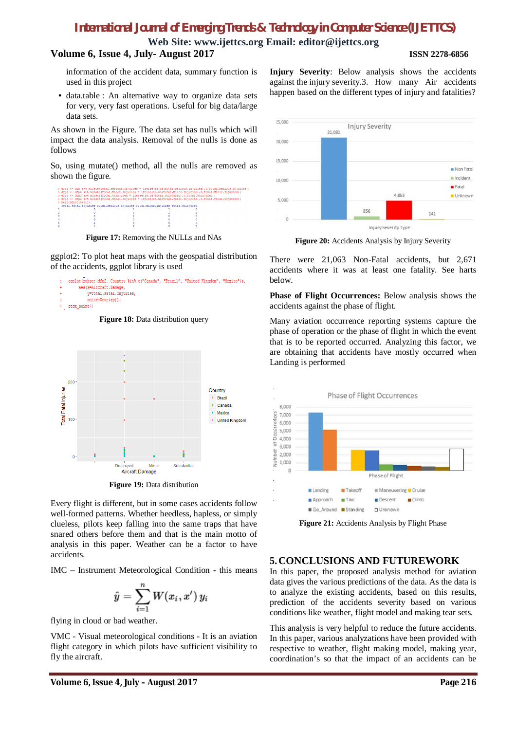**Web Site: www.ijettcs.org Email: editor@ijettcs.org**

# **Volume 6, Issue 4, July- August 2017 ISSN 2278-6856**

information of the accident data, summary function is used in this project

• data.table : An alternative way to organize data sets for very, very fast operations. Useful for big data/large data sets.

As shown in the Figure. The data set has nulls which will impact the data analysis. Removal of the nulls is done as follows

So, using mutate() method, all the nulls are removed as shown the figure.

| > dfp2 <- dfp %>% mutate(Total.Serious.Injuries = ifelse(is.na(Total.Serious.Injuries).0.Total.Serious.Injuries))<br>> dfp2 <- dfp2 %>% mutate(Total.Minor.Injuries = ifelse(is.na(Total.Minor.Injuries).0.Total.Minor.Injuries))<br>> dfp2 <- dfp2 *>* mutate(Total.Uninjured = ifelse(is.na(Total.Uninjured), 0,Total.Uninjured))<br>> dfp2 <- dfp2 %>% mutate(Total.Fatal.Injuries = ifelse(is.na(Total.Fatal.Injuries),0,Total.Fatal.Injuries))<br>$>$ head (dfp2 $(18:211)$ ) |  |  |  |  |
|------------------------------------------------------------------------------------------------------------------------------------------------------------------------------------------------------------------------------------------------------------------------------------------------------------------------------------------------------------------------------------------------------------------------------------------------------------------------------------|--|--|--|--|
| Total. Fatal. Injuries Total. Serious. Injuries Total. Minor. Injuries Total. Uninjured                                                                                                                                                                                                                                                                                                                                                                                            |  |  |  |  |
|                                                                                                                                                                                                                                                                                                                                                                                                                                                                                    |  |  |  |  |
|                                                                                                                                                                                                                                                                                                                                                                                                                                                                                    |  |  |  |  |
|                                                                                                                                                                                                                                                                                                                                                                                                                                                                                    |  |  |  |  |
|                                                                                                                                                                                                                                                                                                                                                                                                                                                                                    |  |  |  |  |
|                                                                                                                                                                                                                                                                                                                                                                                                                                                                                    |  |  |  |  |
|                                                                                                                                                                                                                                                                                                                                                                                                                                                                                    |  |  |  |  |
|                                                                                                                                                                                                                                                                                                                                                                                                                                                                                    |  |  |  |  |

**Figure 17:** Removing the NULLs and NAs

ggplot2: To plot heat maps with the geospatial distribution of the accidents, ggplot library is used







**Figure 19:** Data distribution

Every flight is different, but in some cases accidents follow well-formed patterns. Whether heedless, hapless, or simply clueless, pilots keep falling into the same traps that have snared others before them and that is the main motto of analysis in this paper. Weather can be a factor to have accidents.

IMC – Instrument Meteorological Condition - this means

$$
\hat{y} = \sum_{i=1}^n W(x_i, x')\, y_i
$$

flying in cloud or bad weather.

VMC - Visual meteorological conditions - It is an aviation flight category in which pilots have sufficient visibility to fly the aircraft.

**Injury Severity**: Below analysis shows the accidents against the injury severity.3. How many Air accidents happen based on the different types of injury and fatalities?



**Figure 20:** Accidents Analysis by Injury Severity

There were 21,063 Non-Fatal accidents, but 2,671 accidents where it was at least one fatality. See harts below.

**Phase of Flight Occurrences:** Below analysis shows the accidents against the phase of flight.

Many aviation occurrence reporting systems capture the phase of operation or the phase of flight in which the event that is to be reported occurred. Analyzing this factor, we are obtaining that accidents have mostly occurred when Landing is performed



Figure 21: Accidents Analysis by Flight Phase

# **5.CONCLUSIONS AND FUTUREWORK**

In this paper, the proposed analysis method for aviation data gives the various predictions of the data. As the data is to analyze the existing accidents, based on this results, prediction of the accidents severity based on various conditions like weather, flight model and making tear sets.

This analysis is very helpful to reduce the future accidents. In this paper, various analyzations have been provided with respective to weather, flight making model, making year, coordination's so that the impact of an accidents can be